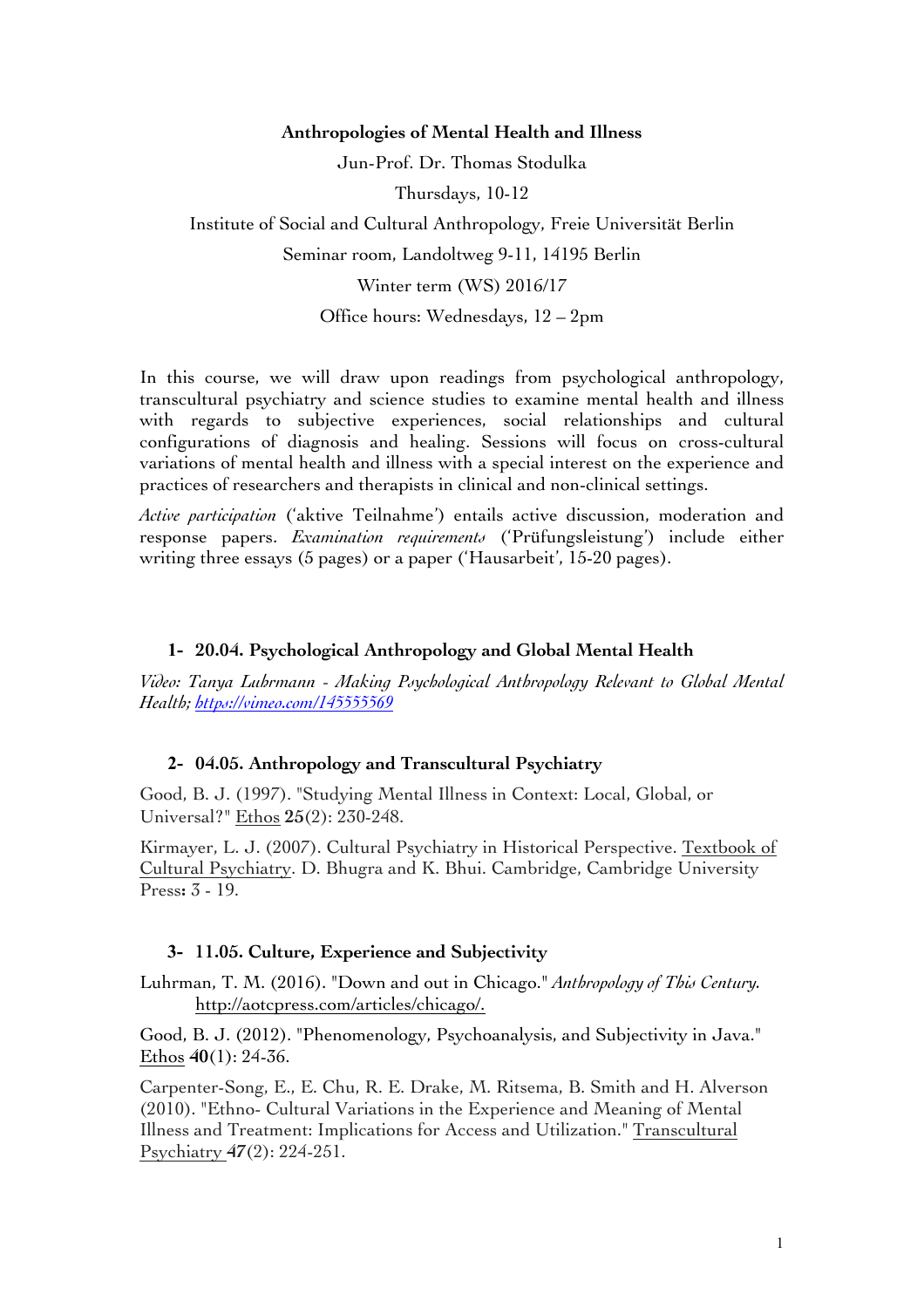### **Anthropologies of Mental Health and Illness**

Jun-Prof. Dr. Thomas Stodulka

Thursdays, 10-12

Institute of Social and Cultural Anthropology, Freie Universität Berlin

Seminar room, Landoltweg 9-11, 14195 Berlin

Winter term (WS) 2016/17

Office hours: Wednesdays, 12 – 2pm

In this course, we will draw upon readings from psychological anthropology, transcultural psychiatry and science studies to examine mental health and illness with regards to subjective experiences, social relationships and cultural configurations of diagnosis and healing. Sessions will focus on cross-cultural variations of mental health and illness with a special interest on the experience and practices of researchers and therapists in clinical and non-clinical settings.

*Active participation* ('aktive Teilnahme') entails active discussion, moderation and response papers. *Examination requirements* ('Prüfungsleistung') include either writing three essays (5 pages) or a paper ('Hausarbeit', 15-20 pages).

### **1- 20.04. Psychological Anthropology and Global Mental Health**

*Video: Tanya Luhrmann - Making Psychological Anthropology Relevant to Global Mental Health; https://vimeo.com/145555569*

#### **2- 04.05. Anthropology and Transcultural Psychiatry**

Good, B. J. (1997). "Studying Mental Illness in Context: Local, Global, or Universal?" Ethos **25**(2): 230-248.

Kirmayer, L. J. (2007). Cultural Psychiatry in Historical Perspective. Textbook of Cultural Psychiatry. D. Bhugra and K. Bhui. Cambridge, Cambridge University Press**:** 3 - 19.

#### **3- 11.05. Culture, Experience and Subjectivity**

Luhrman, T. M. (2016). "Down and out in Chicago." *Anthropology of This Century.* http://aotcpress.com/articles/chicago/.

Good, B. J. (2012). "Phenomenology, Psychoanalysis, and Subjectivity in Java." Ethos **40**(1): 24-36.

Carpenter-Song, E., E. Chu, R. E. Drake, M. Ritsema, B. Smith and H. Alverson (2010). "Ethno- Cultural Variations in the Experience and Meaning of Mental Illness and Treatment: Implications for Access and Utilization." Transcultural Psychiatry **47**(2): 224-251.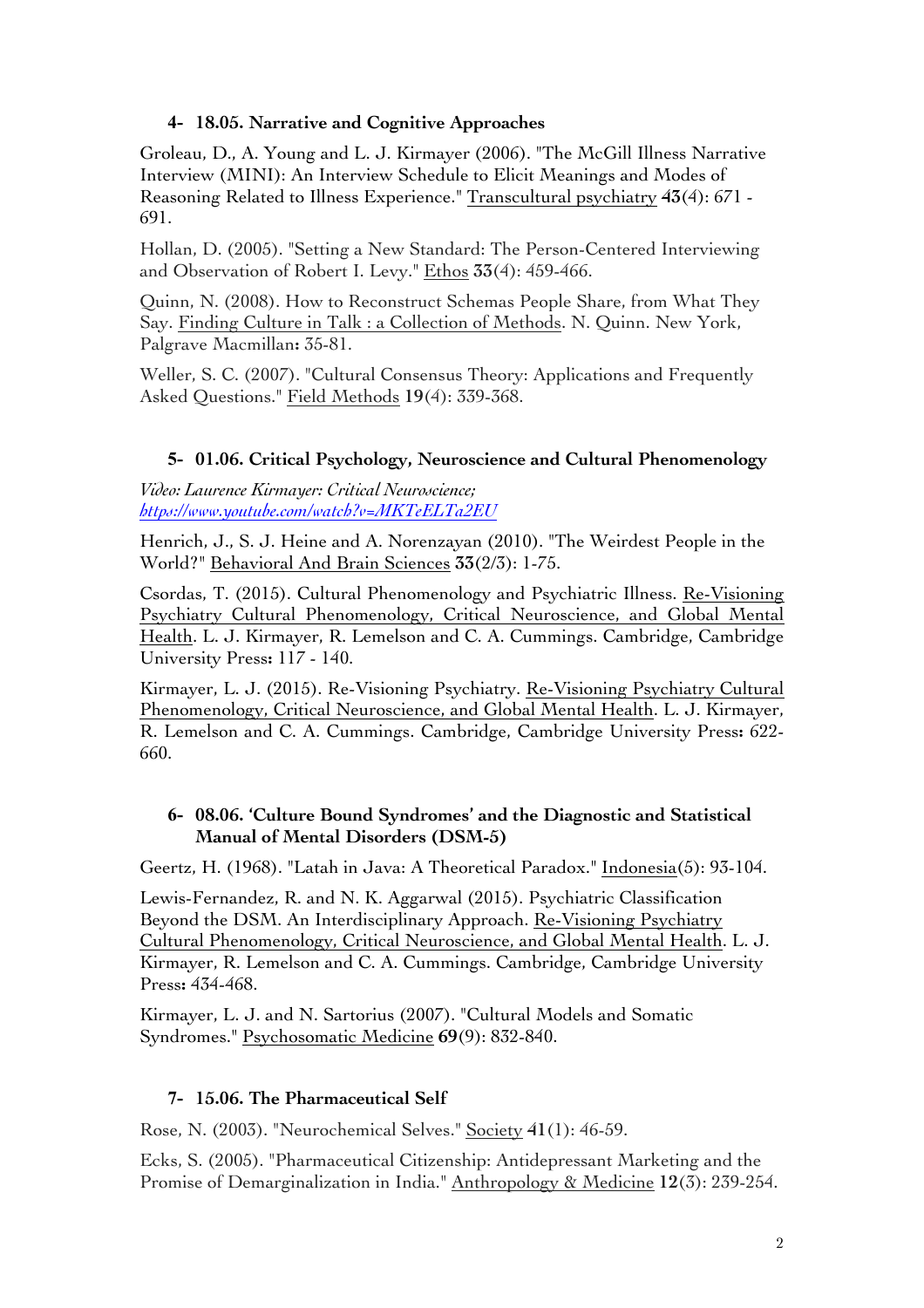# **4- 18.05. Narrative and Cognitive Approaches**

Groleau, D., A. Young and L. J. Kirmayer (2006). "The McGill Illness Narrative Interview (MINI): An Interview Schedule to Elicit Meanings and Modes of Reasoning Related to Illness Experience." Transcultural psychiatry **43**(4): 671 - 691.

Hollan, D. (2005). "Setting a New Standard: The Person-Centered Interviewing and Observation of Robert I. Levy." Ethos **33**(4): 459-466.

Quinn, N. (2008). How to Reconstruct Schemas People Share, from What They Say. Finding Culture in Talk : a Collection of Methods. N. Quinn. New York, Palgrave Macmillan**:** 35-81.

Weller, S. C. (2007). "Cultural Consensus Theory: Applications and Frequently Asked Questions." Field Methods **19**(4): 339-368.

## **5- 01.06. Critical Psychology, Neuroscience and Cultural Phenomenology**

*Video: Laurence Kirmayer: Critical Neuroscience; https://www.youtube.com/watch?v=MKTeELTa2EU*

Henrich, J., S. J. Heine and A. Norenzayan (2010). "The Weirdest People in the World?" Behavioral And Brain Sciences **33**(2/3): 1-75.

Csordas, T. (2015). Cultural Phenomenology and Psychiatric Illness. Re-Visioning Psychiatry Cultural Phenomenology, Critical Neuroscience, and Global Mental Health. L. J. Kirmayer, R. Lemelson and C. A. Cummings. Cambridge, Cambridge University Press**:** 117 - 140.

Kirmayer, L. J. (2015). Re-Visioning Psychiatry. Re-Visioning Psychiatry Cultural Phenomenology, Critical Neuroscience, and Global Mental Health. L. J. Kirmayer, R. Lemelson and C. A. Cummings. Cambridge, Cambridge University Press**:** 622- 660.

## **6- 08.06. 'Culture Bound Syndromes' and the Diagnostic and Statistical Manual of Mental Disorders (DSM-5)**

Geertz, H. (1968). "Latah in Java: A Theoretical Paradox." Indonesia(5): 93-104.

Lewis-Fernandez, R. and N. K. Aggarwal (2015). Psychiatric Classification Beyond the DSM. An Interdisciplinary Approach. Re-Visioning Psychiatry Cultural Phenomenology, Critical Neuroscience, and Global Mental Health. L. J. Kirmayer, R. Lemelson and C. A. Cummings. Cambridge, Cambridge University Press**:** 434-468.

Kirmayer, L. J. and N. Sartorius (2007). "Cultural Models and Somatic Syndromes." Psychosomatic Medicine **69**(9): 832-840.

## **7- 15.06. The Pharmaceutical Self**

Rose, N. (2003). "Neurochemical Selves." Society **41**(1): 46-59.

Ecks, S. (2005). "Pharmaceutical Citizenship: Antidepressant Marketing and the Promise of Demarginalization in India." Anthropology & Medicine **12**(3): 239-254.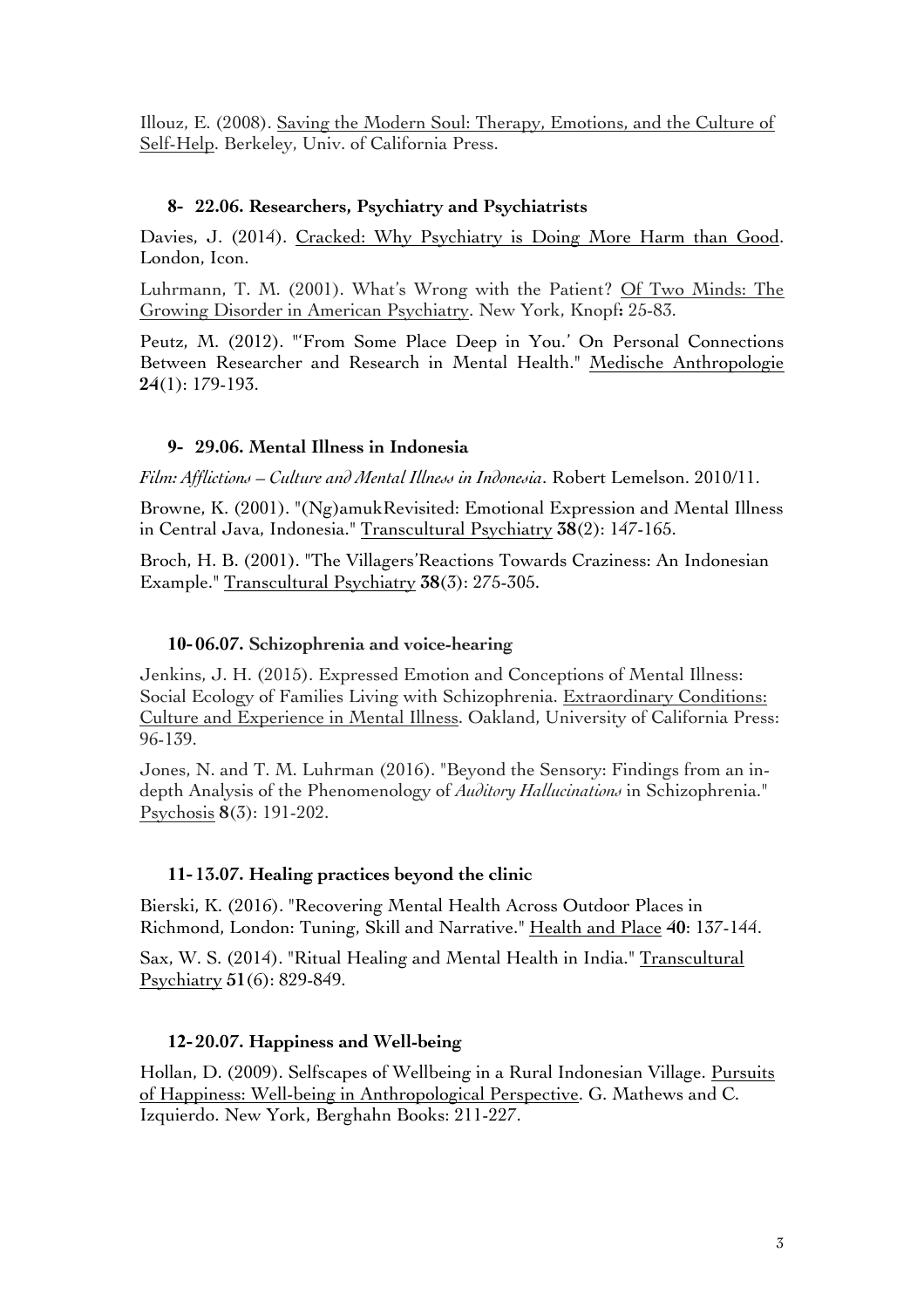Illouz, E. (2008). Saving the Modern Soul: Therapy, Emotions, and the Culture of Self-Help. Berkeley, Univ. of California Press.

## **8- 22.06. Researchers, Psychiatry and Psychiatrists**

Davies, J. (2014). Cracked: Why Psychiatry is Doing More Harm than Good. London, Icon.

Luhrmann, T. M. (2001). What's Wrong with the Patient? Of Two Minds: The Growing Disorder in American Psychiatry. New York, Knopf**:** 25-83.

Peutz, M. (2012). "'From Some Place Deep in You.' On Personal Connections Between Researcher and Research in Mental Health." Medische Anthropologie **24**(1): 179-193.

## **9- 29.06. Mental Illness in Indonesia**

*Film: Afflictions – Culture and Mental Illness in Indonesia*. Robert Lemelson. 2010/11.

Browne, K. (2001). "(Ng)amukRevisited: Emotional Expression and Mental Illness in Central Java, Indonesia." Transcultural Psychiatry **38**(2): 147-165.

Broch, H. B. (2001). "The Villagers'Reactions Towards Craziness: An Indonesian Example." Transcultural Psychiatry **38**(3): 275-305.

## **10- 06.07. Schizophrenia and voice-hearing**

Jenkins, J. H. (2015). Expressed Emotion and Conceptions of Mental Illness: Social Ecology of Families Living with Schizophrenia. Extraordinary Conditions: Culture and Experience in Mental Illness. Oakland, University of California Press: 96-139.

Jones, N. and T. M. Luhrman (2016). "Beyond the Sensory: Findings from an indepth Analysis of the Phenomenology of *Auditory Hallucinations* in Schizophrenia." Psychosis **8**(3): 191-202.

## **11- 13.07. Healing practices beyond the clinic**

Bierski, K. (2016). "Recovering Mental Health Across Outdoor Places in Richmond, London: Tuning, Skill and Narrative." Health and Place **40**: 137-144.

Sax, W. S. (2014). "Ritual Healing and Mental Health in India." Transcultural Psychiatry **51**(6): 829-849.

# **12- 20.07. Happiness and Well-being**

Hollan, D. (2009). Selfscapes of Wellbeing in a Rural Indonesian Village. Pursuits of Happiness: Well-being in Anthropological Perspective. G. Mathews and C. Izquierdo. New York, Berghahn Books: 211-227.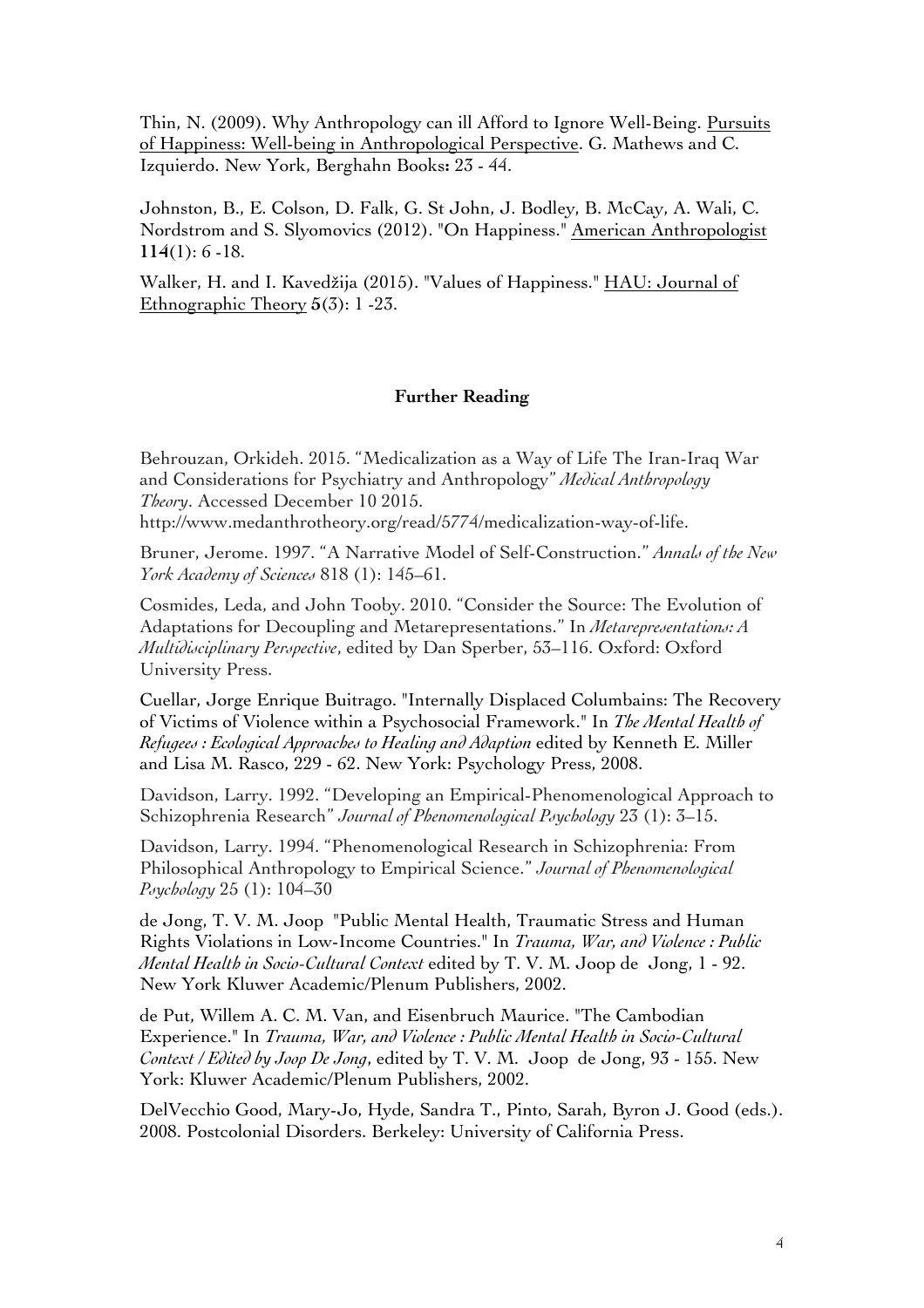Thin, N. (2009). Why Anthropology can ill Afford to Ignore Well-Being. Pursuits of Happiness: Well-being in Anthropological Perspective. G. Mathews and C. Izquierdo. New York, Berghahn Books**:** 23 - 44.

Johnston, B., E. Colson, D. Falk, G. St John, J. Bodley, B. McCay, A. Wali, C. Nordstrom and S. Slyomovics (2012). "On Happiness." American Anthropologist **114**(1): 6 -18.

Walker, H. and I. Kavedžija (2015). "Values of Happiness." HAU: Journal of Ethnographic Theory **5**(3): 1 -23.

#### **Further Reading**

Behrouzan, Orkideh. 2015. "Medicalization as a Way of Life The Iran-Iraq War and Considerations for Psychiatry and Anthropology" *Medical Anthropology Theory*. Accessed December 10 2015.

http://www.medanthrotheory.org/read/5774/medicalization-way-of-life.

Bruner, Jerome. 1997. "A Narrative Model of Self-Construction." *Annals of the New York Academy of Sciences* 818 (1): 145–61.

Cosmides, Leda, and John Tooby. 2010. "Consider the Source: The Evolution of Adaptations for Decoupling and Metarepresentations." In *Metarepresentations: A Multidisciplinary Perspective*, edited by Dan Sperber, 53–116. Oxford: Oxford University Press.

Cuellar, Jorge Enrique Buitrago. "Internally Displaced Columbains: The Recovery of Victims of Violence within a Psychosocial Framework." In *The Mental Health of Refugees : Ecological Approaches to Healing and Adaption* edited by Kenneth E. Miller and Lisa M. Rasco, 229 - 62. New York: Psychology Press, 2008.

Davidson, Larry. 1992. "Developing an Empirical-Phenomenological Approach to Schizophrenia Research" *Journal of Phenomenological Psychology* 23 (1): 3–15.

Davidson, Larry. 1994. "Phenomenological Research in Schizophrenia: From Philosophical Anthropology to Empirical Science." *Journal of Phenomenological Psychology* 25 (1): 104–30

de Jong, T. V. M. Joop "Public Mental Health, Traumatic Stress and Human Rights Violations in Low-Income Countries." In *Trauma, War, and Violence : Public Mental Health in Socio-Cultural Context* edited by T. V. M. Joop de Jong, 1 - 92. New York Kluwer Academic/Plenum Publishers, 2002.

de Put, Willem A. C. M. Van, and Eisenbruch Maurice. "The Cambodian Experience." In *Trauma, War, and Violence : Public Mental Health in Socio-Cultural Context / Edited by Joop De Jong*, edited by T. V. M. Joop de Jong, 93 - 155. New York: Kluwer Academic/Plenum Publishers, 2002.

DelVecchio Good, Mary-Jo, Hyde, Sandra T., Pinto, Sarah, Byron J. Good (eds.). 2008. Postcolonial Disorders. Berkeley: University of California Press.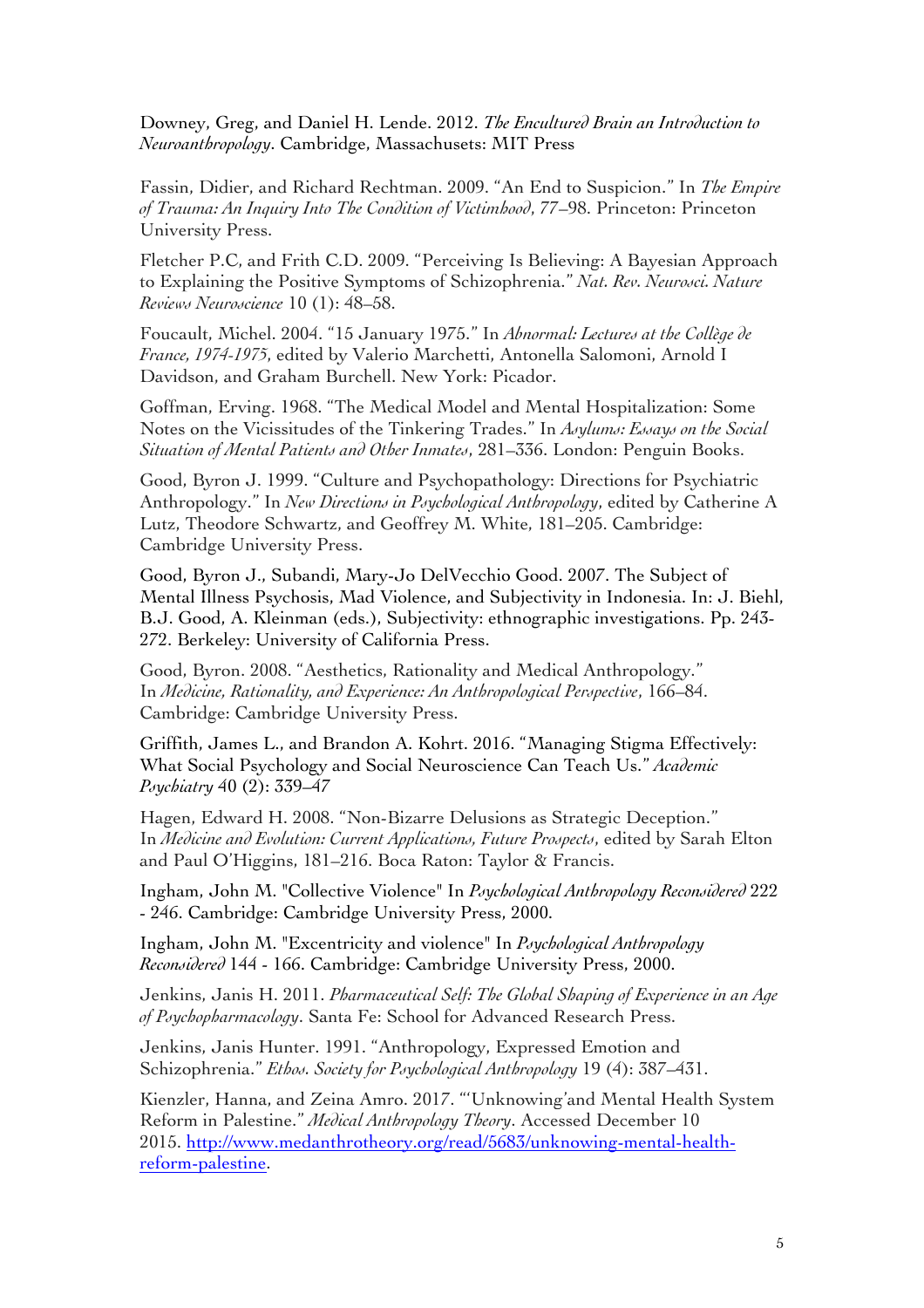Downey, Greg, and Daniel H. Lende. 2012. *The Encultured Brain an Introduction to Neuroanthropology*. Cambridge, Massachusets: MIT Press

Fassin, Didier, and Richard Rechtman. 2009. "An End to Suspicion." In *The Empire of Trauma: An Inquiry Into The Condition of Victimhood*, 77–98. Princeton: Princeton University Press.

Fletcher P.C, and Frith C.D. 2009. "Perceiving Is Believing: A Bayesian Approach to Explaining the Positive Symptoms of Schizophrenia." *Nat. Rev. Neurosci. Nature Reviews Neuroscience* 10 (1): 48–58.

Foucault, Michel. 2004. "15 January 1975." In *Abnormal: Lectures at the Collège de France, 1974-1975*, edited by Valerio Marchetti, Antonella Salomoni, Arnold I Davidson, and Graham Burchell. New York: Picador.

Goffman, Erving. 1968. "The Medical Model and Mental Hospitalization: Some Notes on the Vicissitudes of the Tinkering Trades." In *Asylums: Essays on the Social Situation of Mental Patients and Other Inmates*, 281–336. London: Penguin Books.

Good, Byron J. 1999. "Culture and Psychopathology: Directions for Psychiatric Anthropology." In *New Directions in Psychological Anthropology*, edited by Catherine A Lutz, Theodore Schwartz, and Geoffrey M. White, 181–205. Cambridge: Cambridge University Press.

Good, Byron J., Subandi, Mary-Jo DelVecchio Good. 2007. The Subject of Mental Illness Psychosis, Mad Violence, and Subjectivity in Indonesia. In: J. Biehl, B.J. Good, A. Kleinman (eds.), Subjectivity: ethnographic investigations. Pp. 243- 272. Berkeley: University of California Press.

Good, Byron. 2008. "Aesthetics, Rationality and Medical Anthropology." In *Medicine, Rationality, and Experience: An Anthropological Perspective*, 166–84. Cambridge: Cambridge University Press.

Griffith, James L., and Brandon A. Kohrt. 2016. "Managing Stigma Effectively: What Social Psychology and Social Neuroscience Can Teach Us." *Academic Psychiatry* 40 (2): 339–47

Hagen, Edward H. 2008. "Non-Bizarre Delusions as Strategic Deception." In *Medicine and Evolution: Current Applications, Future Prospects*, edited by Sarah Elton and Paul O'Higgins, 181–216. Boca Raton: Taylor & Francis.

Ingham, John M. "Collective Violence" In *Psychological Anthropology Reconsidered* 222 - 246. Cambridge: Cambridge University Press, 2000.

Ingham, John M. "Excentricity and violence" In *Psychological Anthropology Reconsidered* 144 - 166. Cambridge: Cambridge University Press, 2000.

Jenkins, Janis H. 2011. *Pharmaceutical Self: The Global Shaping of Experience in an Age of Psychopharmacology*. Santa Fe: School for Advanced Research Press.

Jenkins, Janis Hunter. 1991. "Anthropology, Expressed Emotion and Schizophrenia." *Ethos. Society for Psychological Anthropology* 19 (4): 387–431.

Kienzler, Hanna, and Zeina Amro. 2017. "'Unknowing'and Mental Health System Reform in Palestine." *Medical Anthropology Theory*. Accessed December 10 2015. http://www.medanthrotheory.org/read/5683/unknowing-mental-healthreform-palestine.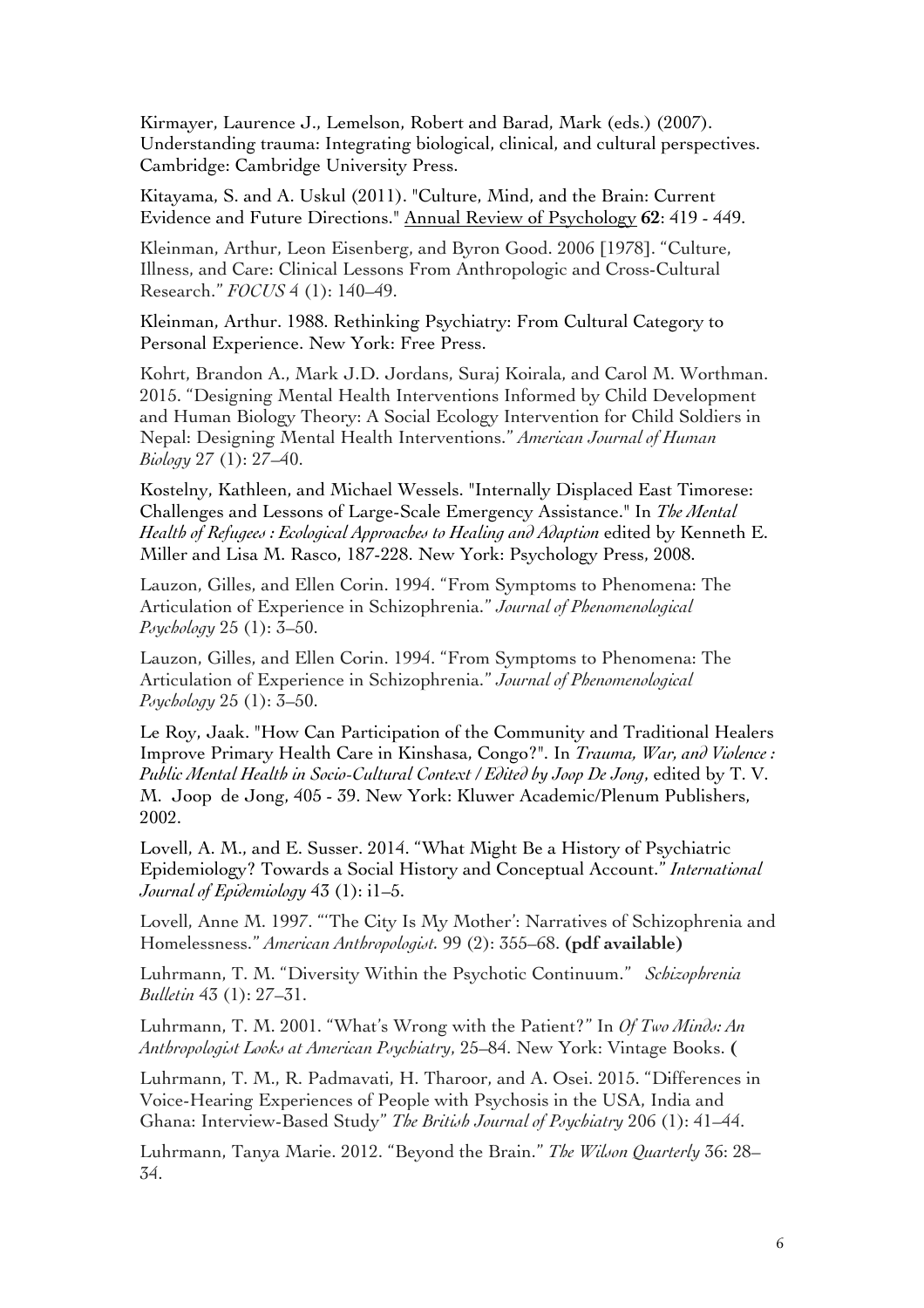Kirmayer, Laurence J., Lemelson, Robert and Barad, Mark (eds.) (2007). Understanding trauma: Integrating biological, clinical, and cultural perspectives. Cambridge: Cambridge University Press.

Kitayama, S. and A. Uskul (2011). "Culture, Mind, and the Brain: Current Evidence and Future Directions." Annual Review of Psychology **62**: 419 - 449.

Kleinman, Arthur, Leon Eisenberg, and Byron Good. 2006 [1978]. "Culture, Illness, and Care: Clinical Lessons From Anthropologic and Cross-Cultural Research." *FOCUS* 4 (1): 140–49.

Kleinman, Arthur. 1988. Rethinking Psychiatry: From Cultural Category to Personal Experience. New York: Free Press.

Kohrt, Brandon A., Mark J.D. Jordans, Suraj Koirala, and Carol M. Worthman. 2015. "Designing Mental Health Interventions Informed by Child Development and Human Biology Theory: A Social Ecology Intervention for Child Soldiers in Nepal: Designing Mental Health Interventions." *American Journal of Human Biology* 27 (1): 27–40.

Kostelny, Kathleen, and Michael Wessels. "Internally Displaced East Timorese: Challenges and Lessons of Large-Scale Emergency Assistance." In *The Mental Health of Refugees : Ecological Approaches to Healing and Adaption* edited by Kenneth E. Miller and Lisa M. Rasco, 187-228. New York: Psychology Press, 2008.

Lauzon, Gilles, and Ellen Corin. 1994. "From Symptoms to Phenomena: The Articulation of Experience in Schizophrenia." *Journal of Phenomenological Psychology* 25 (1): 3–50.

Lauzon, Gilles, and Ellen Corin. 1994. "From Symptoms to Phenomena: The Articulation of Experience in Schizophrenia." *Journal of Phenomenological Psychology* 25 (1): 3–50.

Le Roy, Jaak. "How Can Participation of the Community and Traditional Healers Improve Primary Health Care in Kinshasa, Congo?". In *Trauma, War, and Violence : Public Mental Health in Socio-Cultural Context / Edited by Joop De Jong*, edited by T. V. M. Joop de Jong, 405 - 39. New York: Kluwer Academic/Plenum Publishers, 2002.

Lovell, A. M., and E. Susser. 2014. "What Might Be a History of Psychiatric Epidemiology? Towards a Social History and Conceptual Account." *International Journal of Epidemiology* 43 (1): i1–5.

Lovell, Anne M. 1997. "'The City Is My Mother': Narratives of Schizophrenia and Homelessness." *American Anthropologist.* 99 (2): 355–68. **(pdf available)**

Luhrmann, T. M. "Diversity Within the Psychotic Continuum." *Schizophrenia Bulletin* 43 (1): 27–31.

Luhrmann, T. M. 2001. "What's Wrong with the Patient?" In *Of Two Minds: An Anthropologist Looks at American Psychiatry*, 25–84. New York: Vintage Books. **(**

Luhrmann, T. M., R. Padmavati, H. Tharoor, and A. Osei. 2015. "Differences in Voice-Hearing Experiences of People with Psychosis in the USA, India and Ghana: Interview-Based Study" *The British Journal of Psychiatry* 206 (1): 41–44.

Luhrmann, Tanya Marie. 2012. "Beyond the Brain." *The Wilson Quarterly* 36: 28– 34.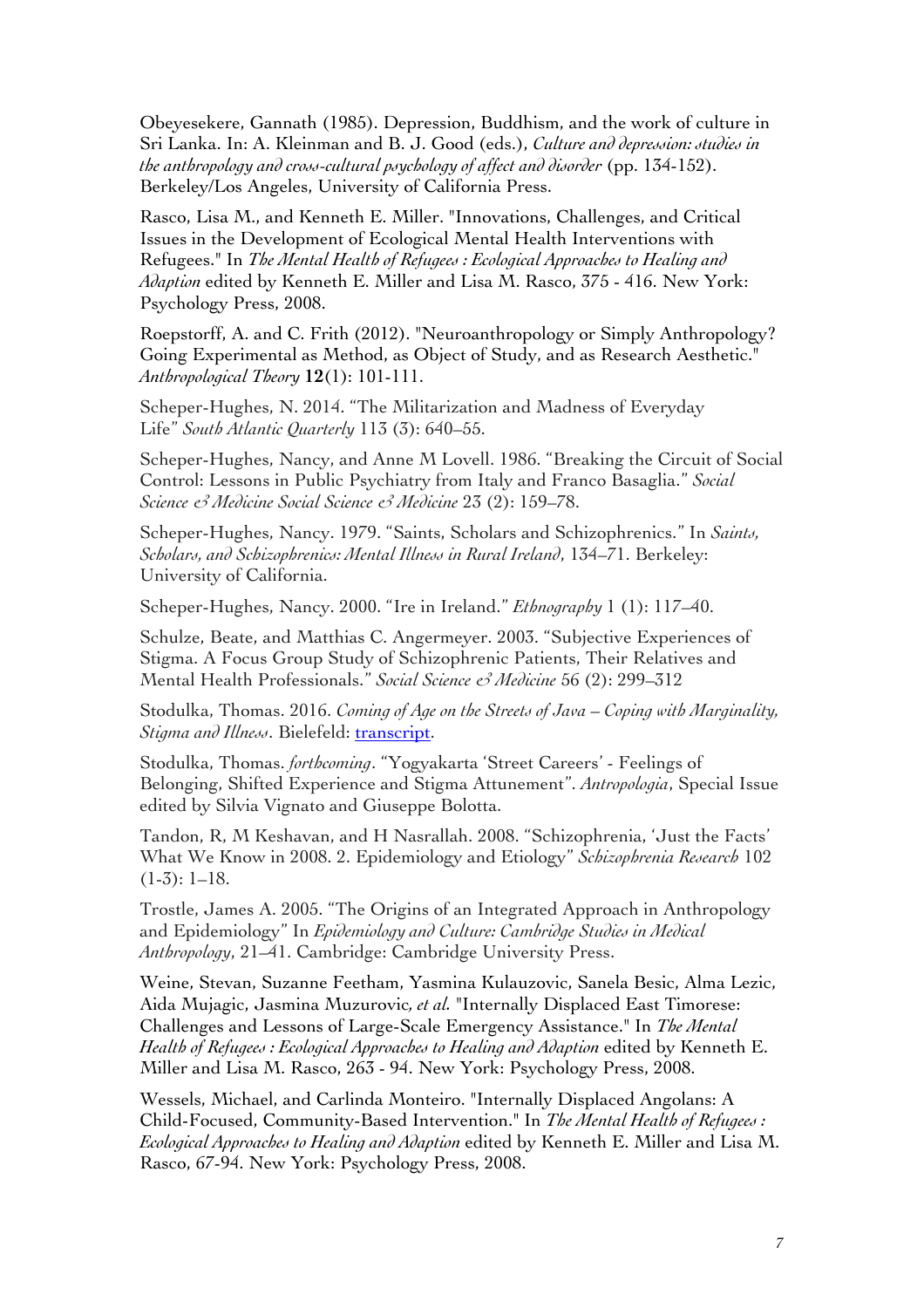Obeyesekere, Gannath (1985). Depression, Buddhism, and the work of culture in Sri Lanka. In: A. Kleinman and B. J. Good (eds.), *Culture and depression: studies in the anthropology and cross-cultural psychology of affect and disorder* (pp. 134-152). Berkeley/Los Angeles, University of California Press.

Rasco, Lisa M., and Kenneth E. Miller. "Innovations, Challenges, and Critical Issues in the Development of Ecological Mental Health Interventions with Refugees." In *The Mental Health of Refugees : Ecological Approaches to Healing and Adaption* edited by Kenneth E. Miller and Lisa M. Rasco, 375 - 416. New York: Psychology Press, 2008.

Roepstorff, A. and C. Frith (2012). "Neuroanthropology or Simply Anthropology? Going Experimental as Method, as Object of Study, and as Research Aesthetic." *Anthropological Theory* **12**(1): 101-111.

Scheper-Hughes, N. 2014. "The Militarization and Madness of Everyday Life" *South Atlantic Quarterly* 113 (3): 640–55.

Scheper-Hughes, Nancy, and Anne M Lovell. 1986. "Breaking the Circuit of Social Control: Lessons in Public Psychiatry from Italy and Franco Basaglia." *Social Science & Medicine Social Science & Medicine* 23 (2): 159–78.

Scheper-Hughes, Nancy. 1979. "Saints, Scholars and Schizophrenics." In *Saints, Scholars, and Schizophrenics: Mental Illness in Rural Ireland*, 134–71. Berkeley: University of California.

Scheper-Hughes, Nancy. 2000. "Ire in Ireland." *Ethnography* 1 (1): 117–40.

Schulze, Beate, and Matthias C. Angermeyer. 2003. "Subjective Experiences of Stigma. A Focus Group Study of Schizophrenic Patients, Their Relatives and Mental Health Professionals." *Social Science & Medicine* 56 (2): 299–312

Stodulka, Thomas. 2016. *Coming of Age on the Streets of Java – Coping with Marginality, Stigma and Illness*. Bielefeld: transcript.

Stodulka, Thomas. *forthcoming*. "Yogyakarta 'Street Careers' - Feelings of Belonging, Shifted Experience and Stigma Attunement". *Antropologia*, Special Issue edited by Silvia Vignato and Giuseppe Bolotta.

Tandon, R, M Keshavan, and H Nasrallah. 2008. "Schizophrenia, 'Just the Facts' What We Know in 2008. 2. Epidemiology and Etiology" *Schizophrenia Research* 102  $(1-3): 1-18.$ 

Trostle, James A. 2005. "The Origins of an Integrated Approach in Anthropology and Epidemiology" In *Epidemiology and Culture: Cambridge Studies in Medical Anthropology*, 21–41. Cambridge: Cambridge University Press.

Weine, Stevan, Suzanne Feetham, Yasmina Kulauzovic, Sanela Besic, Alma Lezic, Aida Mujagic, Jasmina Muzurovic*, et al.* "Internally Displaced East Timorese: Challenges and Lessons of Large-Scale Emergency Assistance." In *The Mental Health of Refugees : Ecological Approaches to Healing and Adaption* edited by Kenneth E. Miller and Lisa M. Rasco, 263 - 94. New York: Psychology Press, 2008.

Wessels, Michael, and Carlinda Monteiro. "Internally Displaced Angolans: A Child-Focused, Community-Based Intervention." In *The Mental Health of Refugees : Ecological Approaches to Healing and Adaption* edited by Kenneth E. Miller and Lisa M. Rasco, 67-94. New York: Psychology Press, 2008.